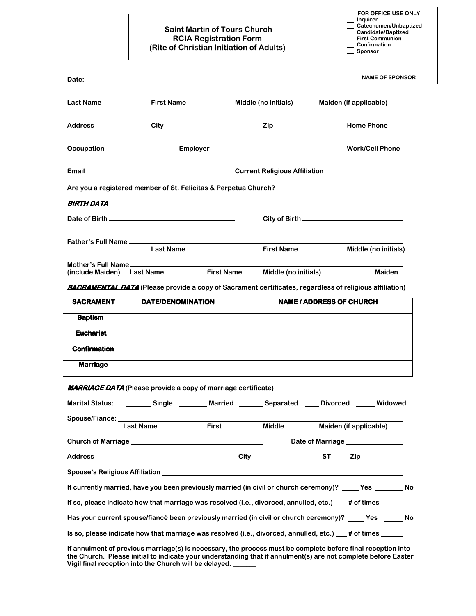## **Saint Martin of Tours Church RCIA Registration Form (Rite of Christian Initiation of Adults)**

**FOR OFFICE USE ONLY Inquirer Catechumen/Unbaptized Candidate/Baptized First Communion Confirmation** 

 **Sponsor** 

| Date: the contract of the contract of the contract of the contract of the contract of the contract of the contract of the contract of the contract of the contract of the contract of the contract of the contract of the cont |                                      |                   |                                                                                                                |                 | <b>NAME OF SPONSOR</b>          |  |
|--------------------------------------------------------------------------------------------------------------------------------------------------------------------------------------------------------------------------------|--------------------------------------|-------------------|----------------------------------------------------------------------------------------------------------------|-----------------|---------------------------------|--|
| <b>Last Name</b>                                                                                                                                                                                                               | <b>First Name</b>                    |                   | Middle (no initials)                                                                                           |                 | Maiden (if applicable)          |  |
| <b>Address</b>                                                                                                                                                                                                                 | City                                 |                   | Zip                                                                                                            |                 | <b>Home Phone</b>               |  |
| Occupation                                                                                                                                                                                                                     |                                      | <b>Employer</b>   |                                                                                                                |                 | <b>Work/Cell Phone</b>          |  |
| Email                                                                                                                                                                                                                          | <b>Current Religious Affiliation</b> |                   |                                                                                                                |                 |                                 |  |
| Are you a registered member of St. Felicitas & Perpetua Church?                                                                                                                                                                |                                      |                   |                                                                                                                |                 |                                 |  |
| BIRTH DATA                                                                                                                                                                                                                     |                                      |                   |                                                                                                                |                 |                                 |  |
|                                                                                                                                                                                                                                |                                      |                   |                                                                                                                |                 |                                 |  |
| Father's Full Name _____                                                                                                                                                                                                       | <b>Last Name</b>                     |                   | <b>First Name</b>                                                                                              |                 | Middle (no initials)            |  |
| Mother's Full Name<br>(include Maiden)                                                                                                                                                                                         | <b>Last Name</b>                     | <b>First Name</b> | Middle (no initials)                                                                                           |                 | <b>Maiden</b>                   |  |
|                                                                                                                                                                                                                                |                                      |                   | <b>SACRAMENTAL DATA</b> (Please provide a copy of Sacrament certificates, regardless of religious affiliation) |                 |                                 |  |
| <b>SACRAMENT</b>                                                                                                                                                                                                               | DATE/DENOMINATION                    |                   | <b>NAME / ADDRESS OF CHURCH</b>                                                                                |                 |                                 |  |
| <b>Baptism</b>                                                                                                                                                                                                                 |                                      |                   |                                                                                                                |                 |                                 |  |
| <b>Eucharist</b>                                                                                                                                                                                                               |                                      |                   |                                                                                                                |                 |                                 |  |
| <b>Confirmation</b>                                                                                                                                                                                                            |                                      |                   |                                                                                                                |                 |                                 |  |
| <b>Marriage</b>                                                                                                                                                                                                                |                                      |                   |                                                                                                                |                 |                                 |  |
| <b>MARRIAGE DATA</b> (Please provide a copy of marriage certificate)                                                                                                                                                           |                                      |                   |                                                                                                                |                 |                                 |  |
| <b>Marital Status:</b>                                                                                                                                                                                                         | Single                               | <b>Married</b>    | Separated                                                                                                      | <b>Divorced</b> | Widowed                         |  |
| Spouse/Fiancé:                                                                                                                                                                                                                 | <b>Last Name</b>                     | <b>First</b>      | <b>Middle</b>                                                                                                  |                 | Maiden (if applicable)          |  |
|                                                                                                                                                                                                                                |                                      |                   |                                                                                                                |                 | Date of Marriage ______________ |  |
|                                                                                                                                                                                                                                |                                      |                   |                                                                                                                |                 |                                 |  |
|                                                                                                                                                                                                                                |                                      |                   | Spouse's Religious Affiliation Superintendent Control of Spouse's Religious Affiliation                        |                 |                                 |  |
| If currently married, have you been previously married (in civil or church ceremony)? _____ Yes _______ No                                                                                                                     |                                      |                   |                                                                                                                |                 |                                 |  |
|                                                                                                                                                                                                                                |                                      |                   |                                                                                                                |                 |                                 |  |
|                                                                                                                                                                                                                                |                                      |                   |                                                                                                                |                 |                                 |  |
| If so, please indicate how that marriage was resolved (i.e., divorced, annulled, etc.) __# of times _____<br>Has your current spouse/fiancé been previously married (in civil or church ceremony)? _____ Yes ______ No         |                                      |                   |                                                                                                                |                 |                                 |  |

**If annulment of previous marriage(s) is necessary, the process must be complete before final reception into the Church. Please initial to indicate your understanding that if annulment(s) are not complete before Easter Vigil final reception into the Church will be delayed. \_\_\_\_\_\_\_**